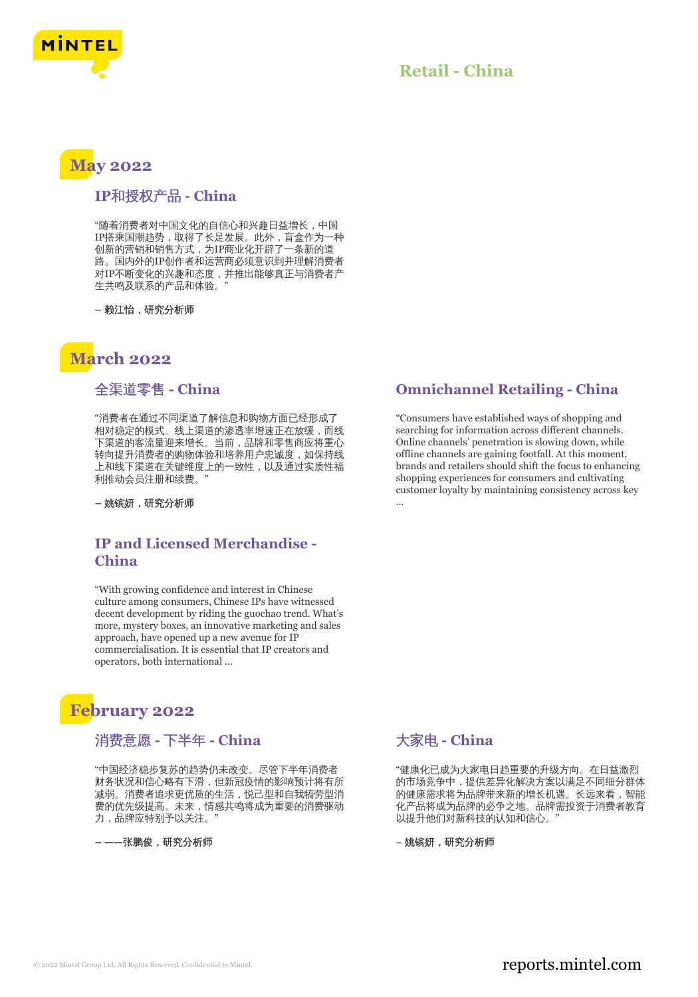

# **May 2022**

## **IP**和授权产品 **- China**

"随着消费者对中国文化的自信心和兴趣日益增长,中国 IP搭乘国潮趋势,取得了长足发展。此外,盲盒作为一种 创新的营销和销售方式,为IP商业化开辟了一条新的道 路。国内外的IP创作者和运营商必须意识到并理解消费者 对IP不断变化的兴趣和态度,并推出能够真正与消费者产 生共鸣及联系的产品和体验。"

**–** 赖江怡,研究分析师

## **March 2022**

#### 全渠道零售 **- China**

"消费者在通过不同渠道了解信息和购物方面已经形成了 相对稳定的模式。线上渠道的渗透率增速正在放缓,而线 下渠道的客流量迎来增长。当前,品牌和零售商应将重心 转向提升消费者的购物体验和培养用户忠诚度,如保持线 上和线下渠道在关键维度上的一致性,以及通过实质性福 利推动会员注册和续费。"

**–** 姚镔妍,研究分析师

### **IP and Licensed Merchandise - China**

"With growing confidence and interest in Chinese culture among consumers, Chinese IPs have witnessed decent development by riding the guochao trend. What's more, mystery boxes, an innovative marketing and sales approach, have opened up a new avenue for IP commercialisation. It is essential that IP creators and operators, both international ...

## **February 2022**

#### 消费意愿 **-** 下半年 **- China**

"中国经济稳步复苏的趋势仍未改变。尽管下半年消费者 财务状况和信心略有下滑,但新冠疫情的影响预计将有所 减弱。消费者追求更优质的生活,悦己型和自我犒劳型消 费的优先级提高。未来,情感共鸣将成为重要的消费驱动 力,品牌应特别予以关注。

**– ——**张鹏俊,研究分析师

## **Omnichannel Retailing - China**

"Consumers have established ways of shopping and searching for information across different channels. Online channels' penetration is slowing down, while offline channels are gaining footfall. At this moment, brands and retailers should shift the focus to enhancing shopping experiences for consumers and cultivating customer loyalty by maintaining consistency across key ...

## 大家电 **- China**

"健康化已成为大家电日趋重要的升级方向。在日益激烈 的市场竞争中,提供差异化解决方案以满足不同细分群体 的健康需求将为品牌带来新的增长机遇。长远来看,智能 化产品将成为品牌的必争之地。品牌需投资于消费者教育 以提升他们对新科技的认知和信心。"

– 姚镔妍,研究分析师

## © 2022 Mintel Group Ltd. All Rights Reserved. Confidential to Mintel.  $\blacksquare$  reports.mintel.com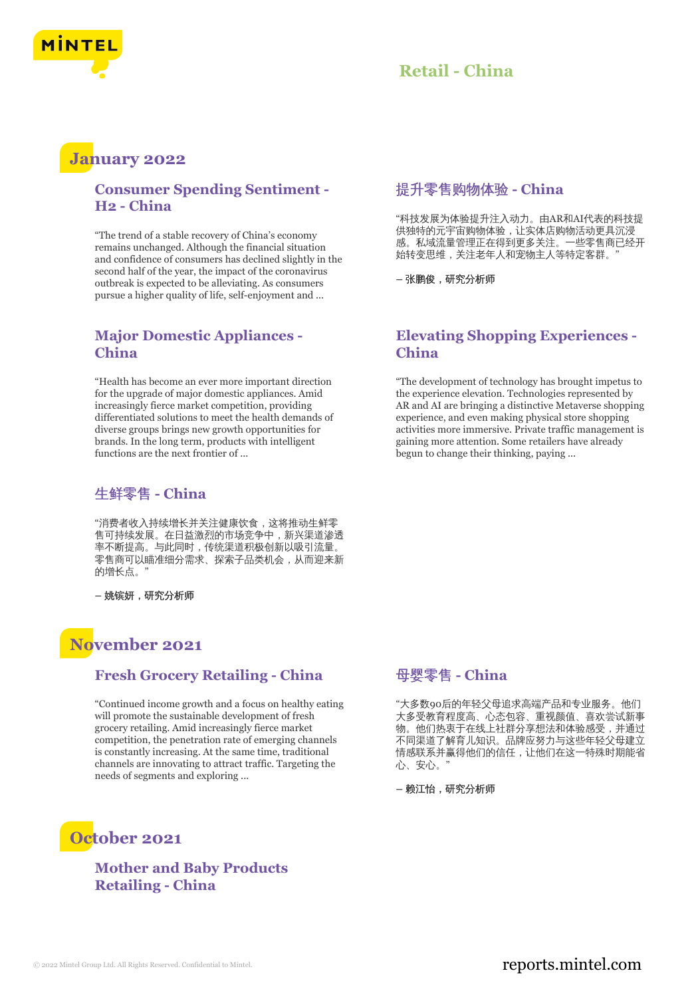

## **January 2022**

### **Consumer Spending Sentiment - H2 - China**

"The trend of a stable recovery of China's economy remains unchanged. Although the financial situation and confidence of consumers has declined slightly in the second half of the year, the impact of the coronavirus outbreak is expected to be alleviating. As consumers pursue a higher quality of life, self-enjoyment and ...

### **Major Domestic Appliances - China**

"Health has become an ever more important direction for the upgrade of major domestic appliances. Amid increasingly fierce market competition, providing differentiated solutions to meet the health demands of diverse groups brings new growth opportunities for brands. In the long term, products with intelligent functions are the next frontier of ...

## 生鲜零售 **- China**

"消费者收入持续增长并关注健康饮食,这将推动生鲜零 售可持续发展。在日益激烈的市场竞争中,新兴渠道渗透 率不断提高。与此同时,传统渠道积极创新以吸引流量。 零售商可以瞄准细分需求、探索子品类机会,从而迎来新 的增长点。"

**–** 姚镔妍,研究分析师

## **November 2021**

#### **Fresh Grocery Retailing - China**

"Continued income growth and a focus on healthy eating will promote the sustainable development of fresh grocery retailing. Amid increasingly fierce market competition, the penetration rate of emerging channels is constantly increasing. At the same time, traditional channels are innovating to attract traffic. Targeting the needs of segments and exploring ...

#### 提升零售购物体验 **- China**

"科技发展为体验提升注入动力。由AR和AI代表的科技提 供独特的元宇宙购物体验,让实体店购物活动更具沉浸 感。私域流量管理正在得到更多关注。一些零售商已经开 始转变思维,关注老年人和宠物主人等特定客群。"

**–** 张鹏俊,研究分析师

#### **Elevating Shopping Experiences - China**

"The development of technology has brought impetus to the experience elevation. Technologies represented by AR and AI are bringing a distinctive Metaverse shopping experience, and even making physical store shopping activities more immersive. Private traffic management is gaining more attention. Some retailers have already begun to change their thinking, paying ...

#### 母婴零售 **- China**

"大多数90后的年轻父母追求高端产品和专业服务。他们 大多受教育程度高、心态包容、重视颜值、喜欢尝试新事 物。他们热衷于在线上社群分享想法和体验感受,并通过 不同渠道了解育儿知识。品牌应努力与这些年轻父母建立 情感联系并赢得他们的信任,让他们在这一特殊时期能省 心、安心。"

**–** 赖江怡,研究分析师

## **October 2021**

### **Mother and Baby Products Retailing - China**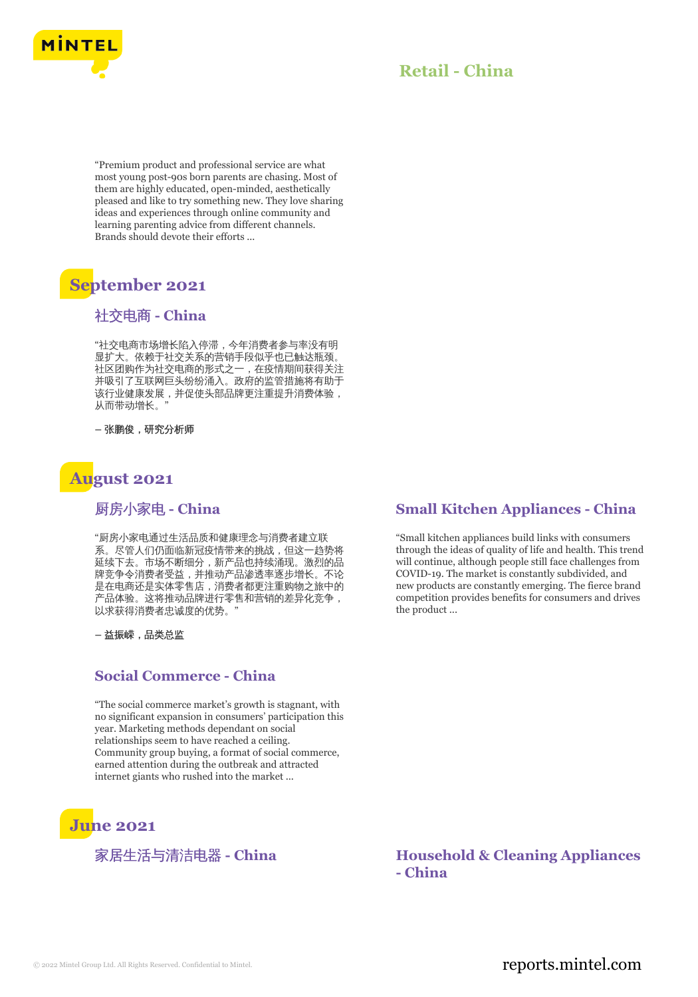

"Premium product and professional service are what most young post-90s born parents are chasing. Most of them are highly educated, open-minded, aesthetically pleased and like to try something new. They love sharing ideas and experiences through online community and learning parenting advice from different channels. Brands should devote their efforts ...

# **September 2021**

## 社交电商 **- China**

"社交电商市场增长陷入停滞,今年消费者参与率没有明 显扩大。依赖于社交关系的营销手段似乎也已触达瓶颈。 社区团购作为社交电商的形式之一,在疫情期间获得关注 并吸引了互联网巨头纷纷涌入。政府的监管措施将有助于 该行业健康发展,并促使头部品牌更注重提升消费体验, 从而带动增长。"

**–** 张鹏俊,研究分析师

# **August 2021**

### 厨房小家电 **- China**

"厨房小家电通过生活品质和健康理念与消费者建立联 系。尽管人们仍面临新冠疫情带来的挑战,但这一趋势将 延续下去。市场不断细分,新产品也持续涌现。激烈的品 牌竞争令消费者受益,并推动产品渗透率逐步增长。不论 是在电商还是实体零售店,消费者都更注重购物之旅中的 产品体验。这将推动品牌进行零售和营销的差异化竞争, 以求获得消费者忠诚度的优势。"

**–** 益振嵘,品类总监

#### **Social Commerce - China**

"The social commerce market's growth is stagnant, with no significant expansion in consumers' participation this year. Marketing methods dependant on social relationships seem to have reached a ceiling. Community group buying, a format of social commerce, earned attention during the outbreak and attracted internet giants who rushed into the market ...

# **June 2021**

### **Small Kitchen Appliances - China**

"Small kitchen appliances build links with consumers through the ideas of quality of life and health. This trend will continue, although people still face challenges from COVID-19. The market is constantly subdivided, and new products are constantly emerging. The fierce brand competition provides benefits for consumers and drives the product ...

家居生活与清洁电器 **- China Household & Cleaning Appliances - China**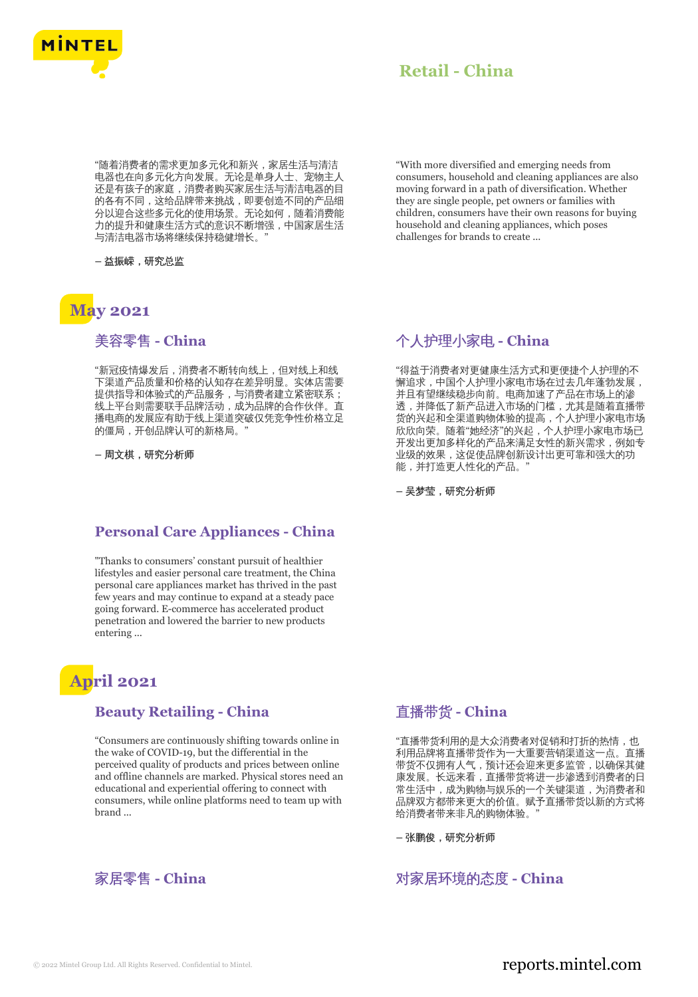

"随着消费者的需求更加多元化和新兴,家居生活与清洁 电器也在向多元化方向发展。无论是单身人士、宠物主人 还是有孩子的家庭,消费者购买家居生活与清洁电器的目 的各有不同,这给品牌带来挑战,即要创造不同的产品细 分以迎合这些多元化的使用场景。无论如何,随着消费能 力的提升和健康生活方式的意识不断增强,中国家居生活 与清洁电器市场将继续保持稳健增长。"

**–** 益振嵘,研究总监

## **May 2021**

美容零售 **- China**

"新冠疫情爆发后,消费者不断转向线上,但对线上和线 下渠道产品质量和价格的认知存在差异明显。实体店需要 提供指导和体验式的产品服务,与消费者建立紧密联系; 线上平台则需要联手品牌活动,成为品牌的合作伙伴。直 播电商的发展应有助于线上渠道突破仅凭竞争性价格立足 的僵局,开创品牌认可的新格局。

**–** 周文棋,研究分析师

#### **Personal Care Appliances - China**

"Thanks to consumers' constant pursuit of healthier lifestyles and easier personal care treatment, the China personal care appliances market has thrived in the past few years and may continue to expand at a steady pace going forward. E-commerce has accelerated product penetration and lowered the barrier to new products entering ...

## **April 2021**

#### **Beauty Retailing - China**

"Consumers are continuously shifting towards online in the wake of COVID-19, but the differential in the perceived quality of products and prices between online and offline channels are marked. Physical stores need an educational and experiential offering to connect with consumers, while online platforms need to team up with brand ...



"With more diversified and emerging needs from consumers, household and cleaning appliances are also moving forward in a path of diversification. Whether they are single people, pet owners or families with children, consumers have their own reasons for buying household and cleaning appliances, which poses challenges for brands to create ...

## 个人护理小家电 **- China**

"得益于消费者对更健康生活方式和更便捷个人护理的不 懈追求,中国个人护理小家电市场在过去几年蓬勃发展, 并且有望继续稳步向前。电商加速了产品在市场上的渗 透,并降低了新产品进入市场的门槛,尤其是随着直播带 货的兴起和全渠道购物体验的提高,个人护理小家电市场 欣欣向荣。随着"她经济"的兴起,个人护理小家电市场已 开发出更加多样化的产品来满足女性的新兴需求,例如专 业级的效果,这促使品牌创新设计出更可靠和强大的功 能,并打造更人性化的产品。"

**–** 吴梦莹,研究分析师

#### 直播带货 **- China**

"直播带货利用的是大众消费者对促销和打折的热情,也 利用品牌将直播带货作为一大重要营销渠道这一点。直播 带货不仅拥有人气,预计还会迎来更多监管,以确保其健 康发展。长远来看,直播带货将进一步渗透到消费者的日 常生活中,成为购物与娱乐的一个关键渠道,为消费者和 品牌双方都带来更大的价值。赋予直播带货以新的方式将 给消费者带来非凡的购物体验。"

**–** 张鹏俊,研究分析师

家居零售 - China 2000 Decrees The Decrees The State Theorem 对家居环境的态度 - China